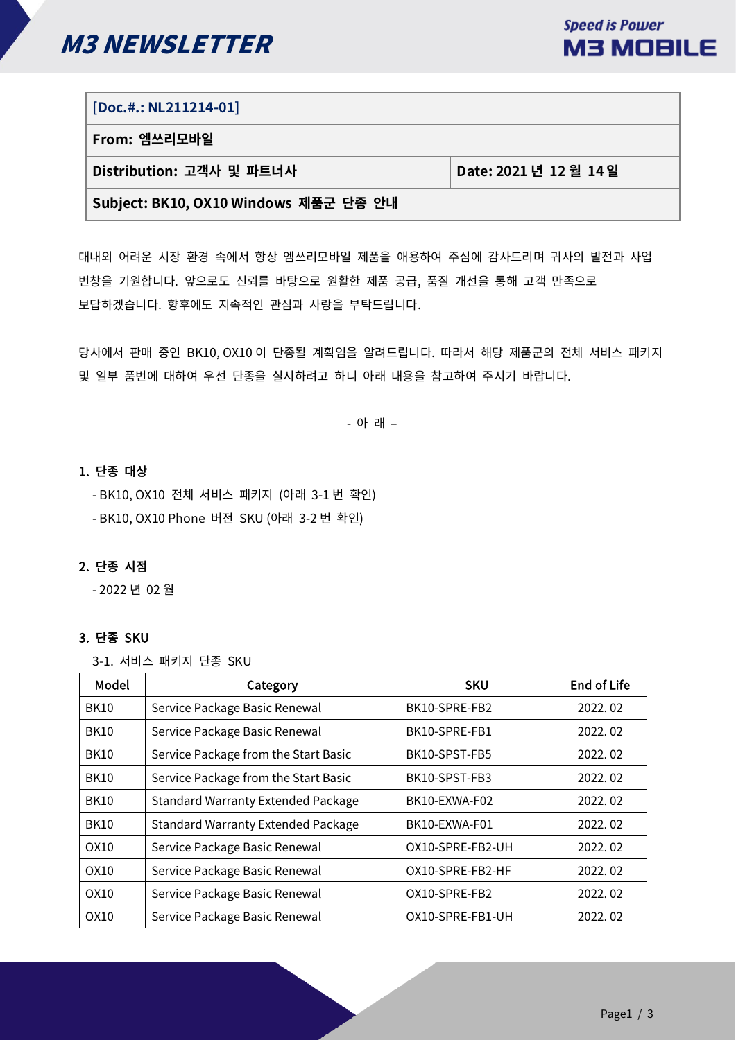

# **[Doc.#.: NL211214-01]**

**From: 엠쓰리모바일**

**Distribution: 고객사 및 파트너사 Date: 2021 년 12 월 14 일**

# **Subject: BK10, OX10 Windows 제품군 단종 안내**

대내외 어려운 시장 환경 속에서 항상 엠쓰리모바일 제품을 애용하여 주심에 감사드리며 귀사의 발전과 사업 번창을 기원합니다. 앞으로도 신뢰를 바탕으로 원활한 제품 공급, 품질 개선을 통해 고객 만족으로 보답하겠습니다. 향후에도 지속적인 관심과 사랑을 부탁드립니다.

당사에서 판매 중인 BK10, OX10 이 단종될 계획임을 알려드립니다. 따라서 해당 제품군의 전체 서비스 패키지 및 일부 품번에 대하여 우선 단종을 실시하려고 하니 아래 내용을 참고하여 주시기 바랍니다.

- 아 래 –

# 1. 단종 대상

- BK10, OX10 전체 서비스 패키지 (아래 3-1 번 확인)

- BK10, OX10 Phone 버전 SKU (아래 3-2 번 확인)

# 2. 단종 시점

- 2022 년 02 월

# 3. 단종 SKU

3-1. 서비스 패키지 단종 SKU

| Model       | Category                                  | <b>SKU</b>       | <b>End of Life</b> |
|-------------|-------------------------------------------|------------------|--------------------|
| <b>BK10</b> | Service Package Basic Renewal             | BK10-SPRE-FB2    | 2022.02            |
| <b>BK10</b> | Service Package Basic Renewal             | BK10-SPRE-FB1    | 2022.02            |
| <b>BK10</b> | Service Package from the Start Basic      | BK10-SPST-FB5    | 2022.02            |
| <b>BK10</b> | Service Package from the Start Basic      | BK10-SPST-FB3    | 2022.02            |
| <b>BK10</b> | <b>Standard Warranty Extended Package</b> | BK10-EXWA-F02    | 2022.02            |
| <b>BK10</b> | <b>Standard Warranty Extended Package</b> | BK10-EXWA-F01    | 2022.02            |
| OX10        | Service Package Basic Renewal             | OX10-SPRE-FB2-UH | 2022.02            |
| OX10        | Service Package Basic Renewal             | OX10-SPRE-FB2-HF | 2022.02            |
| OX10        | Service Package Basic Renewal             | OX10-SPRE-FB2    | 2022.02            |
| OX10        | Service Package Basic Renewal             | OX10-SPRE-FB1-UH | 2022.02            |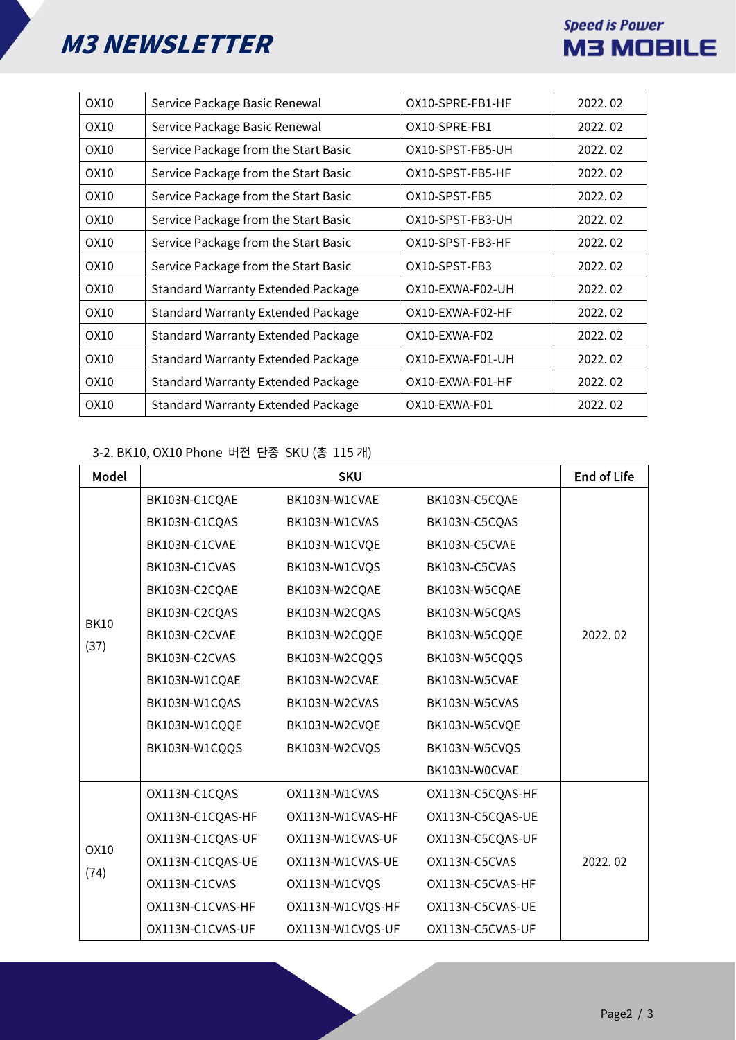# M3 NEWSLETTER

# **Speed is Power M3 MOBILE**

| OX10 | Service Package Basic Renewal             | OX10-SPRE-FB1-HF | 2022.02 |
|------|-------------------------------------------|------------------|---------|
| OX10 | Service Package Basic Renewal             | OX10-SPRE-FB1    | 2022.02 |
| OX10 | Service Package from the Start Basic      | OX10-SPST-FB5-UH | 2022.02 |
| OX10 | Service Package from the Start Basic      | OX10-SPST-FB5-HF | 2022.02 |
| OX10 | Service Package from the Start Basic      | OX10-SPST-FB5    | 2022.02 |
| OX10 | Service Package from the Start Basic      | OX10-SPST-FB3-UH | 2022.02 |
| OX10 | Service Package from the Start Basic      | OX10-SPST-FB3-HF | 2022.02 |
| OX10 | Service Package from the Start Basic      | OX10-SPST-FB3    | 2022.02 |
| OX10 | <b>Standard Warranty Extended Package</b> | OX10-EXWA-F02-UH | 2022.02 |
| OX10 | <b>Standard Warranty Extended Package</b> | OX10-EXWA-F02-HF | 2022.02 |
| OX10 | <b>Standard Warranty Extended Package</b> | OX10-EXWA-F02    | 2022.02 |
| OX10 | <b>Standard Warranty Extended Package</b> | OX10-EXWA-F01-UH | 2022.02 |
| OX10 | <b>Standard Warranty Extended Package</b> | OX10-EXWA-F01-HF | 2022.02 |
| OX10 | <b>Standard Warranty Extended Package</b> | OX10-EXWA-F01    | 2022.02 |

# 3-2. BK10, OX10 Phone 버전 단종 SKU (총 115 개)

| Model               |                  | <b>SKU</b>       |                  | <b>End of Life</b> |
|---------------------|------------------|------------------|------------------|--------------------|
| <b>BK10</b><br>(37) | BK103N-C1CQAE    | BK103N-W1CVAE    | BK103N-C5CQAE    |                    |
|                     | BK103N-C1CQAS    | BK103N-W1CVAS    | BK103N-C5CQAS    |                    |
|                     | BK103N-C1CVAE    | BK103N-W1CVQE    | BK103N-C5CVAE    |                    |
|                     | BK103N-C1CVAS    | BK103N-W1CVQS    | BK103N-C5CVAS    |                    |
|                     | BK103N-C2CQAE    | BK103N-W2CQAE    | BK103N-W5CQAE    |                    |
|                     | BK103N-C2CQAS    | BK103N-W2CQAS    | BK103N-W5CQAS    |                    |
|                     | BK103N-C2CVAE    | BK103N-W2CQQE    | BK103N-W5CQQE    | 2022.02            |
|                     | BK103N-C2CVAS    | BK103N-W2CQQS    | BK103N-W5CQQS    |                    |
|                     | BK103N-W1CQAE    | BK103N-W2CVAE    | BK103N-W5CVAE    |                    |
|                     | BK103N-W1CQAS    | BK103N-W2CVAS    | BK103N-W5CVAS    |                    |
|                     | BK103N-W1CQQE    | BK103N-W2CVQE    | BK103N-W5CVQE    |                    |
|                     | BK103N-W1CQQS    | BK103N-W2CVQS    | BK103N-W5CVQS    |                    |
|                     |                  |                  | BK103N-W0CVAE    |                    |
| <b>OX10</b><br>(74) | OX113N-C1CQAS    | OX113N-W1CVAS    | OX113N-C5CQAS-HF |                    |
|                     | OX113N-C1CQAS-HF | OX113N-W1CVAS-HF | OX113N-C5CQAS-UE |                    |
|                     | OX113N-C1CQAS-UF | OX113N-W1CVAS-UF | OX113N-C5CQAS-UF |                    |
|                     | OX113N-C1CQAS-UE | OX113N-W1CVAS-UE | OX113N-C5CVAS    | 2022.02            |
|                     | OX113N-C1CVAS    | OX113N-W1CVQS    | OX113N-C5CVAS-HF |                    |
|                     | OX113N-C1CVAS-HF | OX113N-W1CVQS-HF | OX113N-C5CVAS-UE |                    |
|                     | OX113N-C1CVAS-UF | OX113N-W1CVQS-UF | OX113N-C5CVAS-UF |                    |